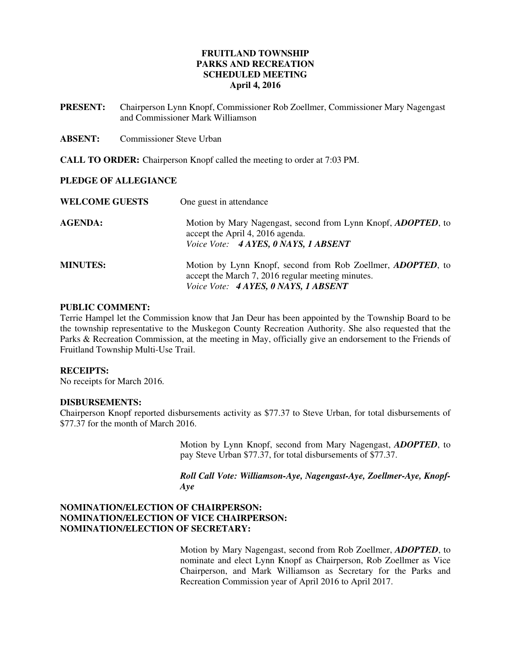# **FRUITLAND TOWNSHIP PARKS AND RECREATION SCHEDULED MEETING April 4, 2016**

**PRESENT:** Chairperson Lynn Knopf, Commissioner Rob Zoellmer, Commissioner Mary Nagengast and Commissioner Mark Williamson

**ABSENT:** Commissioner Steve Urban

**CALL TO ORDER:** Chairperson Knopf called the meeting to order at 7:03 PM.

### **PLEDGE OF ALLEGIANCE**

| <b>WELCOME GUESTS</b> | One guest in attendance                                                                                                                                          |
|-----------------------|------------------------------------------------------------------------------------------------------------------------------------------------------------------|
| <b>AGENDA:</b>        | Motion by Mary Nagengast, second from Lynn Knopf, <i>ADOPTED</i> , to<br>accept the April 4, 2016 agenda.<br>Voice Vote: 4 AYES, 0 NAYS, 1 ABSENT                |
| <b>MINUTES:</b>       | Motion by Lynn Knopf, second from Rob Zoellmer, <i>ADOPTED</i> , to<br>accept the March 7, 2016 regular meeting minutes.<br>Voice Vote: 4 AYES, 0 NAYS, 1 ABSENT |

# **PUBLIC COMMENT:**

Terrie Hampel let the Commission know that Jan Deur has been appointed by the Township Board to be the township representative to the Muskegon County Recreation Authority. She also requested that the Parks & Recreation Commission, at the meeting in May, officially give an endorsement to the Friends of Fruitland Township Multi-Use Trail.

#### **RECEIPTS:**

No receipts for March 2016.

#### **DISBURSEMENTS:**

Chairperson Knopf reported disbursements activity as \$77.37 to Steve Urban, for total disbursements of \$77.37 for the month of March 2016.

> Motion by Lynn Knopf, second from Mary Nagengast, *ADOPTED*, to pay Steve Urban \$77.37, for total disbursements of \$77.37.

> *Roll Call Vote: Williamson-Aye, Nagengast-Aye, Zoellmer-Aye, Knopf-Aye*

# **NOMINATION/ELECTION OF CHAIRPERSON: NOMINATION/ELECTION OF VICE CHAIRPERSON: NOMINATION/ELECTION OF SECRETARY:**

Motion by Mary Nagengast, second from Rob Zoellmer, *ADOPTED*, to nominate and elect Lynn Knopf as Chairperson, Rob Zoellmer as Vice Chairperson, and Mark Williamson as Secretary for the Parks and Recreation Commission year of April 2016 to April 2017.